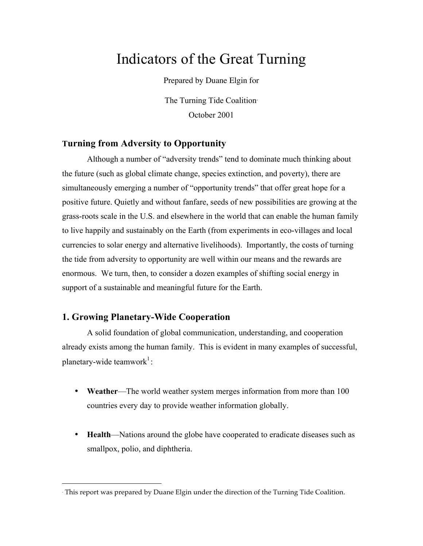# Indicators of the Great Turning

Prepared by Duane Elgin for

The Turning Tide Coalition<sup>∗</sup> October 2001

# **Turning from Adversity to Opportunity**

Although a number of "adversity trends" tend to dominate much thinking about the future (such as global climate change, species extinction, and poverty), there are simultaneously emerging a number of "opportunity trends" that offer great hope for a positive future. Quietly and without fanfare, seeds of new possibilities are growing at the grass-roots scale in the U.S. and elsewhere in the world that can enable the human family to live happily and sustainably on the Earth (from experiments in eco-villages and local currencies to solar energy and alternative livelihoods). Importantly, the costs of turning the tide from adversity to opportunity are well within our means and the rewards are enormous. We turn, then, to consider a dozen examples of shifting social energy in support of a sustainable and meaningful future for the Earth.

# **1. Growing Planetary-Wide Cooperation**

 $\overline{a}$ 

A solid foundation of global communication, understanding, and cooperation already exists among the human family. This is evident in many examples of successful, planetary-wide teamwork<sup>1</sup>:

- **Weather**—The world weather system merges information from more than 100 countries every day to provide weather information globally.
- **Health**—Nations around the globe have cooperated to eradicate diseases such as smallpox, polio, and diphtheria.

<sup>∗</sup> This report was prepared by Duane Elgin under the direction of the Turning Tide Coalition.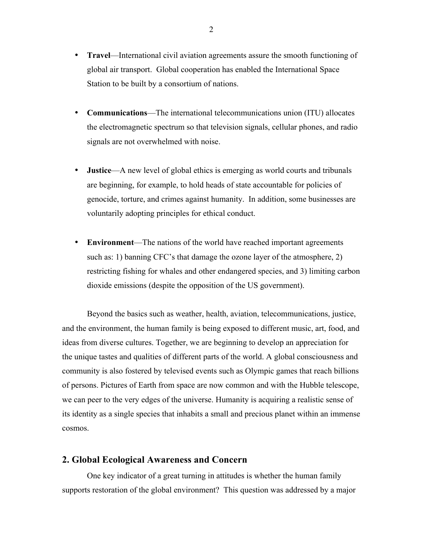- **Travel**—International civil aviation agreements assure the smooth functioning of global air transport. Global cooperation has enabled the International Space Station to be built by a consortium of nations.
- **Communications**—The international telecommunications union (ITU) allocates the electromagnetic spectrum so that television signals, cellular phones, and radio signals are not overwhelmed with noise.
- **Justice**—A new level of global ethics is emerging as world courts and tribunals are beginning, for example, to hold heads of state accountable for policies of genocide, torture, and crimes against humanity. In addition, some businesses are voluntarily adopting principles for ethical conduct.
- **Environment**—The nations of the world have reached important agreements such as: 1) banning CFC's that damage the ozone layer of the atmosphere, 2) restricting fishing for whales and other endangered species, and 3) limiting carbon dioxide emissions (despite the opposition of the US government).

Beyond the basics such as weather, health, aviation, telecommunications, justice, and the environment, the human family is being exposed to different music, art, food, and ideas from diverse cultures. Together, we are beginning to develop an appreciation for the unique tastes and qualities of different parts of the world. A global consciousness and community is also fostered by televised events such as Olympic games that reach billions of persons. Pictures of Earth from space are now common and with the Hubble telescope, we can peer to the very edges of the universe. Humanity is acquiring a realistic sense of its identity as a single species that inhabits a small and precious planet within an immense cosmos.

# **2. Global Ecological Awareness and Concern**

One key indicator of a great turning in attitudes is whether the human family supports restoration of the global environment? This question was addressed by a major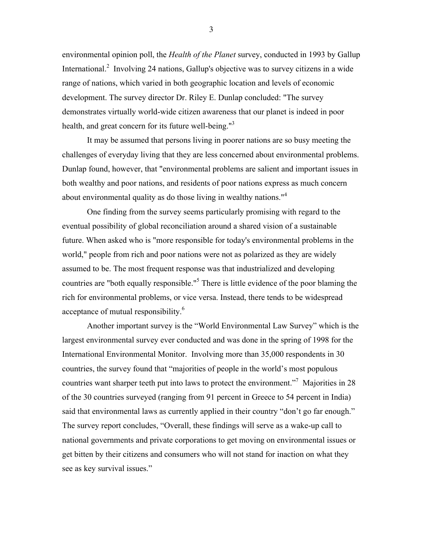environmental opinion poll, the *Health of the Planet* survey, conducted in 1993 by Gallup International.<sup>2</sup> Involving 24 nations, Gallup's objective was to survey citizens in a wide range of nations, which varied in both geographic location and levels of economic development. The survey director Dr. Riley E. Dunlap concluded: "The survey demonstrates virtually world-wide citizen awareness that our planet is indeed in poor health, and great concern for its future well-being."<sup>3</sup>

It may be assumed that persons living in poorer nations are so busy meeting the challenges of everyday living that they are less concerned about environmental problems. Dunlap found, however, that "environmental problems are salient and important issues in both wealthy and poor nations, and residents of poor nations express as much concern about environmental quality as do those living in wealthy nations.<sup>"4</sup>

One finding from the survey seems particularly promising with regard to the eventual possibility of global reconciliation around a shared vision of a sustainable future. When asked who is "more responsible for today's environmental problems in the world," people from rich and poor nations were not as polarized as they are widely assumed to be. The most frequent response was that industrialized and developing countries are "both equally responsible."<sup>5</sup> There is little evidence of the poor blaming the rich for environmental problems, or vice versa. Instead, there tends to be widespread acceptance of mutual responsibility.<sup>6</sup>

Another important survey is the "World Environmental Law Survey" which is the largest environmental survey ever conducted and was done in the spring of 1998 for the International Environmental Monitor. Involving more than 35,000 respondents in 30 countries, the survey found that "majorities of people in the world's most populous countries want sharper teeth put into laws to protect the environment."<sup>7</sup> Majorities in 28 of the 30 countries surveyed (ranging from 91 percent in Greece to 54 percent in India) said that environmental laws as currently applied in their country "don't go far enough." The survey report concludes, "Overall, these findings will serve as a wake-up call to national governments and private corporations to get moving on environmental issues or get bitten by their citizens and consumers who will not stand for inaction on what they see as key survival issues."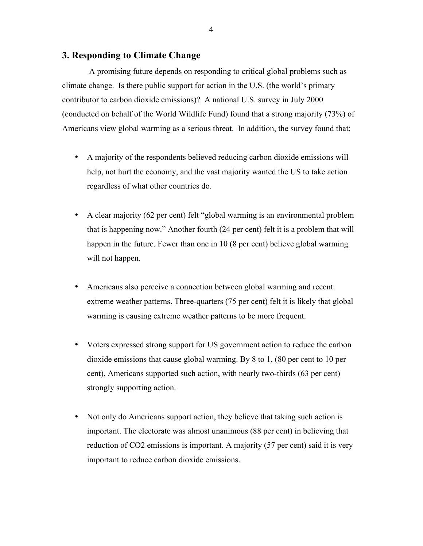## **3. Responding to Climate Change**

A promising future depends on responding to critical global problems such as climate change. Is there public support for action in the U.S. (the world's primary contributor to carbon dioxide emissions)? A national U.S. survey in July 2000 (conducted on behalf of the World Wildlife Fund) found that a strong majority (73%) of Americans view global warming as a serious threat. In addition, the survey found that:

- A majority of the respondents believed reducing carbon dioxide emissions will help, not hurt the economy, and the vast majority wanted the US to take action regardless of what other countries do.
- A clear majority (62 per cent) felt "global warming is an environmental problem that is happening now." Another fourth (24 per cent) felt it is a problem that will happen in the future. Fewer than one in 10 (8 per cent) believe global warming will not happen.
- Americans also perceive a connection between global warming and recent extreme weather patterns. Three-quarters (75 per cent) felt it is likely that global warming is causing extreme weather patterns to be more frequent.
- Voters expressed strong support for US government action to reduce the carbon dioxide emissions that cause global warming. By 8 to 1, (80 per cent to 10 per cent), Americans supported such action, with nearly two-thirds (63 per cent) strongly supporting action.
- Not only do Americans support action, they believe that taking such action is important. The electorate was almost unanimous (88 per cent) in believing that reduction of CO2 emissions is important. A majority (57 per cent) said it is very important to reduce carbon dioxide emissions.

4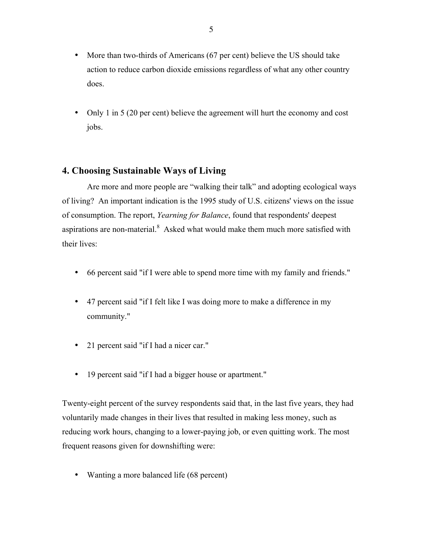- More than two-thirds of Americans (67 per cent) believe the US should take action to reduce carbon dioxide emissions regardless of what any other country does.
- Only 1 in 5 (20 per cent) believe the agreement will hurt the economy and cost jobs.

# **4. Choosing Sustainable Ways of Living**

Are more and more people are "walking their talk" and adopting ecological ways of living? An important indication is the 1995 study of U.S. citizens' views on the issue of consumption. The report, *Yearning for Balance*, found that respondents' deepest aspirations are non-material. $8$  Asked what would make them much more satisfied with their lives:

- 66 percent said "if I were able to spend more time with my family and friends."
- 47 percent said "if I felt like I was doing more to make a difference in my community."
- 21 percent said "if I had a nicer car."
- 19 percent said "if I had a bigger house or apartment."

Twenty-eight percent of the survey respondents said that, in the last five years, they had voluntarily made changes in their lives that resulted in making less money, such as reducing work hours, changing to a lower-paying job, or even quitting work. The most frequent reasons given for downshifting were:

• Wanting a more balanced life (68 percent)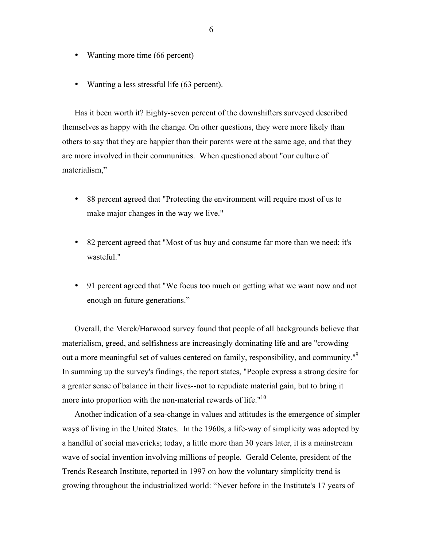- Wanting more time (66 percent)
- Wanting a less stressful life (63 percent).

Has it been worth it? Eighty-seven percent of the downshifters surveyed described themselves as happy with the change. On other questions, they were more likely than others to say that they are happier than their parents were at the same age, and that they are more involved in their communities. When questioned about "our culture of materialism,"

- 88 percent agreed that "Protecting the environment will require most of us to make major changes in the way we live."
- 82 percent agreed that "Most of us buy and consume far more than we need; it's wasteful."
- 91 percent agreed that "We focus too much on getting what we want now and not enough on future generations."

Overall, the Merck/Harwood survey found that people of all backgrounds believe that materialism, greed, and selfishness are increasingly dominating life and are "crowding out a more meaningful set of values centered on family, responsibility, and community."<sup>9</sup> In summing up the survey's findings, the report states, "People express a strong desire for a greater sense of balance in their lives--not to repudiate material gain, but to bring it more into proportion with the non-material rewards of life."<sup>10</sup>

Another indication of a sea-change in values and attitudes is the emergence of simpler ways of living in the United States. In the 1960s, a life-way of simplicity was adopted by a handful of social mavericks; today, a little more than 30 years later, it is a mainstream wave of social invention involving millions of people. Gerald Celente, president of the Trends Research Institute, reported in 1997 on how the voluntary simplicity trend is growing throughout the industrialized world: "Never before in the Institute's 17 years of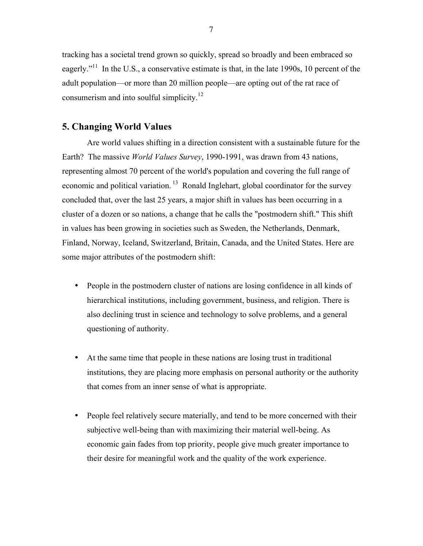tracking has a societal trend grown so quickly, spread so broadly and been embraced so eagerly."<sup>11</sup> In the U.S., a conservative estimate is that, in the late 1990s, 10 percent of the adult population—or more than 20 million people—are opting out of the rat race of consumerism and into soulful simplicity. $12$ 

# **5. Changing World Values**

Are world values shifting in a direction consistent with a sustainable future for the Earth? The massive *World Values Survey*, 1990-1991, was drawn from 43 nations, representing almost 70 percent of the world's population and covering the full range of economic and political variation.  $13$  Ronald Inglehart, global coordinator for the survey concluded that, over the last 25 years, a major shift in values has been occurring in a cluster of a dozen or so nations, a change that he calls the "postmodern shift." This shift in values has been growing in societies such as Sweden, the Netherlands, Denmark, Finland, Norway, Iceland, Switzerland, Britain, Canada, and the United States. Here are some major attributes of the postmodern shift:

- People in the postmodern cluster of nations are losing confidence in all kinds of hierarchical institutions, including government, business, and religion. There is also declining trust in science and technology to solve problems, and a general questioning of authority.
- At the same time that people in these nations are losing trust in traditional institutions, they are placing more emphasis on personal authority or the authority that comes from an inner sense of what is appropriate.
- People feel relatively secure materially, and tend to be more concerned with their subjective well-being than with maximizing their material well-being. As economic gain fades from top priority, people give much greater importance to their desire for meaningful work and the quality of the work experience.

7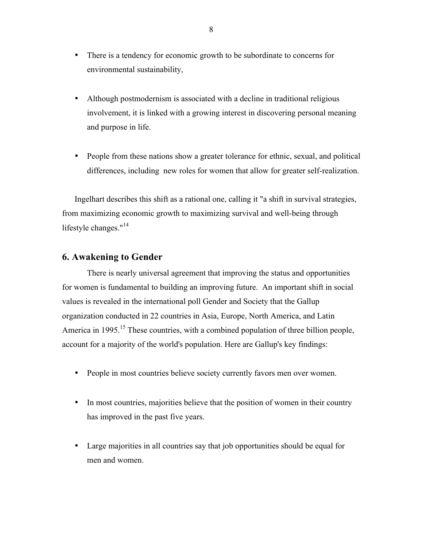- There is a tendency for economic growth to be subordinate to concerns for environmental sustainability,
- Although postmodernism is associated with a decline in traditional religious involvement, it is linked with a growing interest in discovering personal meaning and purpose in life.
- People from these nations show a greater tolerance for ethnic, sexual, and political differences, including new roles for women that allow for greater self-realization.

Ingelhart describes this shift as a rational one, calling it "a shift in survival strategies, from maximizing economic growth to maximizing survival and well-being through lifestyle changes."<sup>14</sup>

# **6. Awakening to Gender**

There is nearly universal agreement that improving the status and opportunities for women is fundamental to building an improving future. An important shift in social values is revealed in the international poll Gender and Society that the Gallup organization conducted in 22 countries in Asia, Europe, North America, and Latin America in 1995.<sup>15</sup> These countries, with a combined population of three billion people, account for a majority of the world's population. Here are Gallup's key findings:

- People in most countries believe society currently favors men over women.
- In most countries, majorities believe that the position of women in their country has improved in the past five years.
- Large majorities in all countries say that job opportunities should be equal for men and women.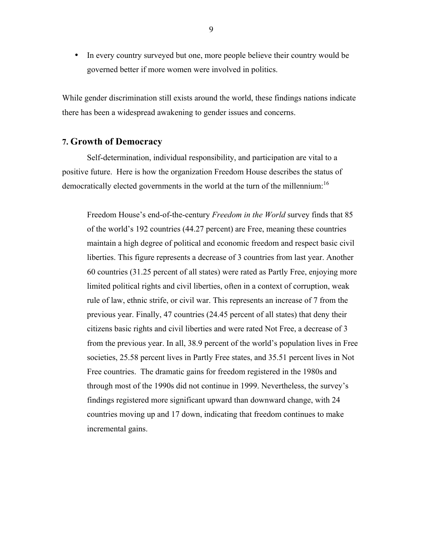• In every country surveyed but one, more people believe their country would be governed better if more women were involved in politics.

While gender discrimination still exists around the world, these findings nations indicate there has been a widespread awakening to gender issues and concerns.

# **7. Growth of Democracy**

Self-determination, individual responsibility, and participation are vital to a positive future. Here is how the organization Freedom House describes the status of democratically elected governments in the world at the turn of the millennium:<sup>16</sup>

Freedom House's end-of-the-century *Freedom in the World* survey finds that 85 of the world's 192 countries (44.27 percent) are Free, meaning these countries maintain a high degree of political and economic freedom and respect basic civil liberties. This figure represents a decrease of 3 countries from last year. Another 60 countries (31.25 percent of all states) were rated as Partly Free, enjoying more limited political rights and civil liberties, often in a context of corruption, weak rule of law, ethnic strife, or civil war. This represents an increase of 7 from the previous year. Finally, 47 countries (24.45 percent of all states) that deny their citizens basic rights and civil liberties and were rated Not Free, a decrease of 3 from the previous year. In all, 38.9 percent of the world's population lives in Free societies, 25.58 percent lives in Partly Free states, and 35.51 percent lives in Not Free countries. The dramatic gains for freedom registered in the 1980s and through most of the 1990s did not continue in 1999. Nevertheless, the survey's findings registered more significant upward than downward change, with 24 countries moving up and 17 down, indicating that freedom continues to make incremental gains.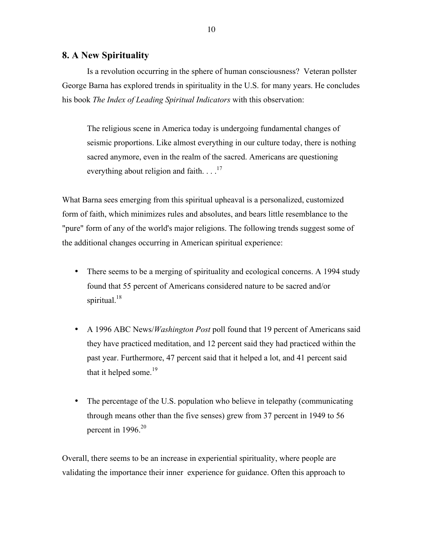# **8. A New Spirituality**

Is a revolution occurring in the sphere of human consciousness? Veteran pollster George Barna has explored trends in spirituality in the U.S. for many years. He concludes his book *The Index of Leading Spiritual Indicators* with this observation:

The religious scene in America today is undergoing fundamental changes of seismic proportions. Like almost everything in our culture today, there is nothing sacred anymore, even in the realm of the sacred. Americans are questioning everything about religion and faith.  $\ldots$ <sup>17</sup>

What Barna sees emerging from this spiritual upheaval is a personalized, customized form of faith, which minimizes rules and absolutes, and bears little resemblance to the "pure" form of any of the world's major religions. The following trends suggest some of the additional changes occurring in American spiritual experience:

- There seems to be a merging of spirituality and ecological concerns. A 1994 study found that 55 percent of Americans considered nature to be sacred and/or spiritual. $18$
- A 1996 ABC News/*Washington Post* poll found that 19 percent of Americans said they have practiced meditation, and 12 percent said they had practiced within the past year. Furthermore, 47 percent said that it helped a lot, and 41 percent said that it helped some.<sup>19</sup>
- The percentage of the U.S. population who believe in telepathy (communicating through means other than the five senses) grew from 37 percent in 1949 to 56 percent in  $1996^{20}$

Overall, there seems to be an increase in experiential spirituality, where people are validating the importance their inner experience for guidance. Often this approach to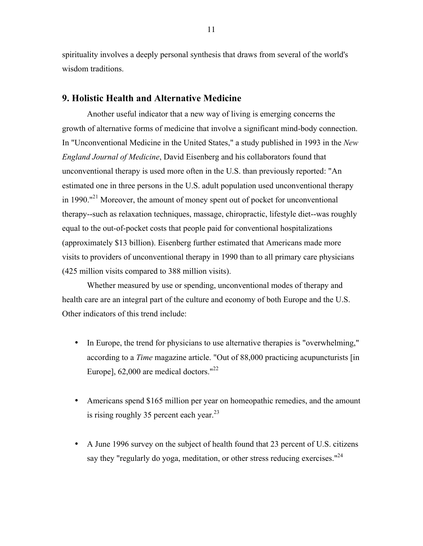spirituality involves a deeply personal synthesis that draws from several of the world's wisdom traditions.

#### **9. Holistic Health and Alternative Medicine**

Another useful indicator that a new way of living is emerging concerns the growth of alternative forms of medicine that involve a significant mind-body connection. In "Unconventional Medicine in the United States," a study published in 1993 in the *New England Journal of Medicine*, David Eisenberg and his collaborators found that unconventional therapy is used more often in the U.S. than previously reported: "An estimated one in three persons in the U.S. adult population used unconventional therapy in 1990."<sup>21</sup> Moreover, the amount of money spent out of pocket for unconventional therapy--such as relaxation techniques, massage, chiropractic, lifestyle diet--was roughly equal to the out-of-pocket costs that people paid for conventional hospitalizations (approximately \$13 billion). Eisenberg further estimated that Americans made more visits to providers of unconventional therapy in 1990 than to all primary care physicians (425 million visits compared to 388 million visits).

Whether measured by use or spending, unconventional modes of therapy and health care are an integral part of the culture and economy of both Europe and the U.S. Other indicators of this trend include:

- In Europe, the trend for physicians to use alternative therapies is "overwhelming," according to a *Time* magazine article. "Out of 88,000 practicing acupuncturists [in Europe],  $62,000$  are medical doctors."<sup>22</sup>
- Americans spend \$165 million per year on homeopathic remedies, and the amount is rising roughly 35 percent each year.<sup>23</sup>
- A June 1996 survey on the subject of health found that 23 percent of U.S. citizens say they "regularly do yoga, meditation, or other stress reducing exercises."<sup>24</sup>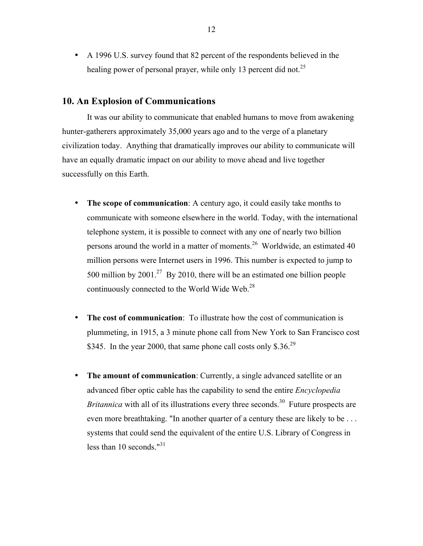• A 1996 U.S. survey found that 82 percent of the respondents believed in the healing power of personal prayer, while only 13 percent did not.<sup>25</sup>

### **10. An Explosion of Communications**

It was our ability to communicate that enabled humans to move from awakening hunter-gatherers approximately 35,000 years ago and to the verge of a planetary civilization today. Anything that dramatically improves our ability to communicate will have an equally dramatic impact on our ability to move ahead and live together successfully on this Earth.

- **The scope of communication**: A century ago, it could easily take months to communicate with someone elsewhere in the world. Today, with the international telephone system, it is possible to connect with any one of nearly two billion persons around the world in a matter of moments.<sup>26</sup> Worldwide, an estimated 40 million persons were Internet users in 1996. This number is expected to jump to 500 million by  $2001<sup>27</sup>$  By 2010, there will be an estimated one billion people continuously connected to the World Wide Web.<sup>28</sup>
- **The cost of communication**: To illustrate how the cost of communication is plummeting, in 1915, a 3 minute phone call from New York to San Francisco cost \$345. In the year 2000, that same phone call costs only \$.36.<sup>29</sup>
- **The amount of communication**: Currently, a single advanced satellite or an advanced fiber optic cable has the capability to send the entire *Encyclopedia Britannica* with all of its illustrations every three seconds.<sup>30</sup> Future prospects are even more breathtaking. "In another quarter of a century these are likely to be . . . systems that could send the equivalent of the entire U.S. Library of Congress in less than 10 seconds." $31$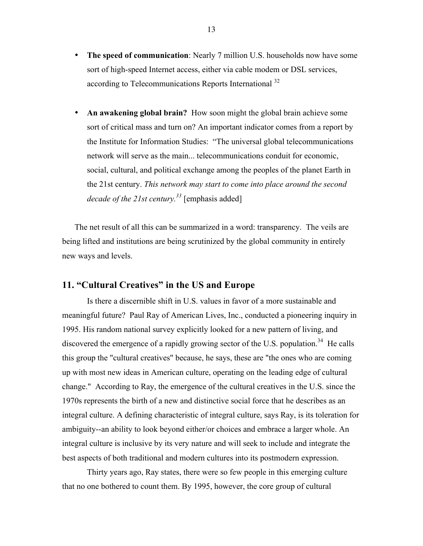- **The speed of communication**: Nearly 7 million U.S. households now have some sort of high-speed Internet access, either via cable modem or DSL services, according to Telecommunications Reports International <sup>32</sup>
- An awakening global brain? How soon might the global brain achieve some sort of critical mass and turn on? An important indicator comes from a report by the Institute for Information Studies: "The universal global telecommunications network will serve as the main... telecommunications conduit for economic, social, cultural, and political exchange among the peoples of the planet Earth in the 21st century. *This network may start to come into place around the second decade of the 21st century.33* [emphasis added]

The net result of all this can be summarized in a word: transparency. The veils are being lifted and institutions are being scrutinized by the global community in entirely new ways and levels.

# **11. "Cultural Creatives" in the US and Europe**

Is there a discernible shift in U.S. values in favor of a more sustainable and meaningful future? Paul Ray of American Lives, Inc., conducted a pioneering inquiry in 1995. His random national survey explicitly looked for a new pattern of living, and discovered the emergence of a rapidly growing sector of the U.S. population.<sup>34</sup> He calls this group the "cultural creatives" because, he says, these are "the ones who are coming up with most new ideas in American culture, operating on the leading edge of cultural change." According to Ray, the emergence of the cultural creatives in the U.S. since the 1970s represents the birth of a new and distinctive social force that he describes as an integral culture. A defining characteristic of integral culture, says Ray, is its toleration for ambiguity--an ability to look beyond either/or choices and embrace a larger whole. An integral culture is inclusive by its very nature and will seek to include and integrate the best aspects of both traditional and modern cultures into its postmodern expression.

Thirty years ago, Ray states, there were so few people in this emerging culture that no one bothered to count them. By 1995, however, the core group of cultural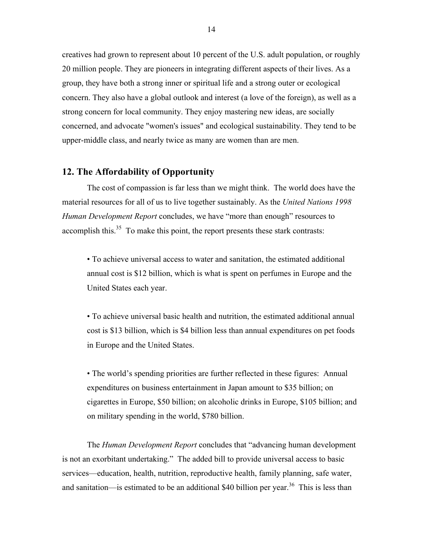creatives had grown to represent about 10 percent of the U.S. adult population, or roughly 20 million people. They are pioneers in integrating different aspects of their lives. As a group, they have both a strong inner or spiritual life and a strong outer or ecological concern. They also have a global outlook and interest (a love of the foreign), as well as a strong concern for local community. They enjoy mastering new ideas, are socially concerned, and advocate "women's issues" and ecological sustainability. They tend to be upper-middle class, and nearly twice as many are women than are men.

# **12. The Affordability of Opportunity**

The cost of compassion is far less than we might think. The world does have the material resources for all of us to live together sustainably. As the *United Nations 1998 Human Development Report* concludes, we have "more than enough" resources to accomplish this. $35$  To make this point, the report presents these stark contrasts:

• To achieve universal access to water and sanitation, the estimated additional annual cost is \$12 billion, which is what is spent on perfumes in Europe and the United States each year.

• To achieve universal basic health and nutrition, the estimated additional annual cost is \$13 billion, which is \$4 billion less than annual expenditures on pet foods in Europe and the United States.

• The world's spending priorities are further reflected in these figures: Annual expenditures on business entertainment in Japan amount to \$35 billion; on cigarettes in Europe, \$50 billion; on alcoholic drinks in Europe, \$105 billion; and on military spending in the world, \$780 billion.

The *Human Development Report* concludes that "advancing human development is not an exorbitant undertaking." The added bill to provide universal access to basic services—education, health, nutrition, reproductive health, family planning, safe water, and sanitation—is estimated to be an additional \$40 billion per year.<sup>36</sup> This is less than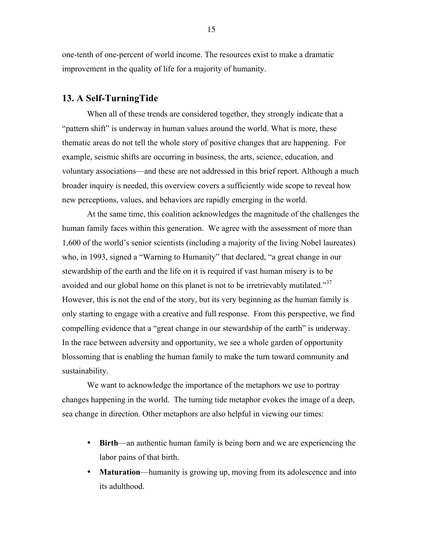one-tenth of one-percent of world income. The resources exist to make a dramatic improvement in the quality of life for a majority of humanity.

### **13. A Self-TurningTide**

When all of these trends are considered together, they strongly indicate that a "pattern shift" is underway in human values around the world. What is more, these thematic areas do not tell the whole story of positive changes that are happening. For example, seismic shifts are occurring in business, the arts, science, education, and voluntary associations—and these are not addressed in this brief report. Although a much broader inquiry is needed, this overview covers a sufficiently wide scope to reveal how new perceptions, values, and behaviors are rapidly emerging in the world.

At the same time, this coalition acknowledges the magnitude of the challenges the human family faces within this generation. We agree with the assessment of more than 1,600 of the world's senior scientists (including a majority of the living Nobel laureates) who, in 1993, signed a "Warning to Humanity" that declared, "a great change in our stewardship of the earth and the life on it is required if vast human misery is to be avoided and our global home on this planet is not to be irretrievably mutilated."<sup>37</sup> However, this is not the end of the story, but its very beginning as the human family is only starting to engage with a creative and full response. From this perspective, we find compelling evidence that a "great change in our stewardship of the earth" is underway. In the race between adversity and opportunity, we see a whole garden of opportunity blossoming that is enabling the human family to make the turn toward community and sustainability.

We want to acknowledge the importance of the metaphors we use to portray changes happening in the world. The turning tide metaphor evokes the image of a deep, sea change in direction. Other metaphors are also helpful in viewing our times:

- **Birth**—an authentic human family is being born and we are experiencing the labor pains of that birth.
- **Maturation—humanity is growing up, moving from its adolescence and into** its adulthood.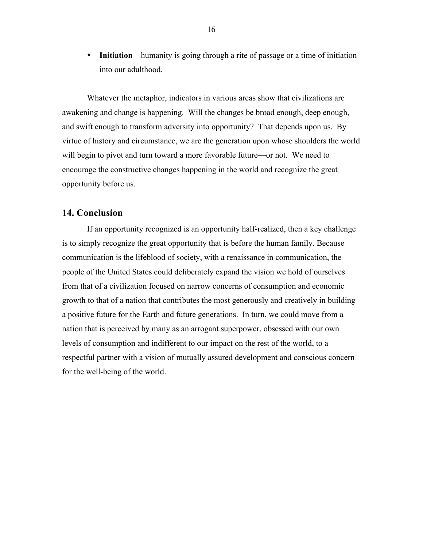• **Initiation**—humanity is going through a rite of passage or a time of initiation into our adulthood.

Whatever the metaphor, indicators in various areas show that civilizations are awakening and change is happening. Will the changes be broad enough, deep enough, and swift enough to transform adversity into opportunity? That depends upon us. By virtue of history and circumstance, we are the generation upon whose shoulders the world will begin to pivot and turn toward a more favorable future—or not. We need to encourage the constructive changes happening in the world and recognize the great opportunity before us.

# **14. Conclusion**

If an opportunity recognized is an opportunity half-realized, then a key challenge is to simply recognize the great opportunity that is before the human family. Because communication is the lifeblood of society, with a renaissance in communication, the people of the United States could deliberately expand the vision we hold of ourselves from that of a civilization focused on narrow concerns of consumption and economic growth to that of a nation that contributes the most generously and creatively in building a positive future for the Earth and future generations. In turn, we could move from a nation that is perceived by many as an arrogant superpower, obsessed with our own levels of consumption and indifferent to our impact on the rest of the world, to a respectful partner with a vision of mutually assured development and conscious concern for the well-being of the world.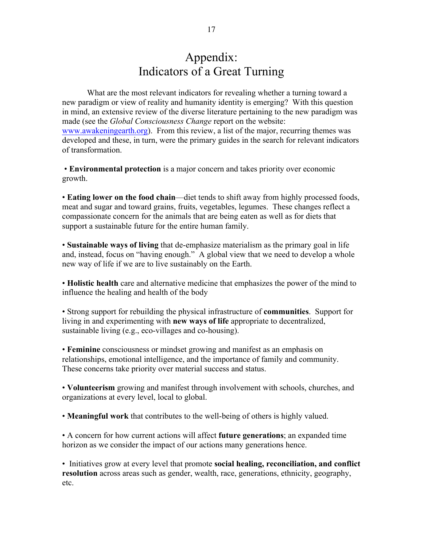# Appendix: Indicators of a Great Turning

What are the most relevant indicators for revealing whether a turning toward a new paradigm or view of reality and humanity identity is emerging? With this question in mind, an extensive review of the diverse literature pertaining to the new paradigm was made (see the *Global Consciousness Change* report on the website: www.awakeningearth.org). From this review, a list of the major, recurring themes was developed and these, in turn, were the primary guides in the search for relevant indicators of transformation.

• **Environmental protection** is a major concern and takes priority over economic growth.

• **Eating lower on the food chain**—diet tends to shift away from highly processed foods, meat and sugar and toward grains, fruits, vegetables, legumes. These changes reflect a compassionate concern for the animals that are being eaten as well as for diets that support a sustainable future for the entire human family.

• **Sustainable ways of living** that de-emphasize materialism as the primary goal in life and, instead, focus on "having enough." A global view that we need to develop a whole new way of life if we are to live sustainably on the Earth.

• **Holistic health** care and alternative medicine that emphasizes the power of the mind to influence the healing and health of the body

• Strong support for rebuilding the physical infrastructure of **communities**. Support for living in and experimenting with **new ways of life** appropriate to decentralized, sustainable living (e.g., eco-villages and co-housing).

• **Feminine** consciousness or mindset growing and manifest as an emphasis on relationships, emotional intelligence, and the importance of family and community. These concerns take priority over material success and status.

• **Volunteerism** growing and manifest through involvement with schools, churches, and organizations at every level, local to global.

• **Meaningful work** that contributes to the well-being of others is highly valued.

• A concern for how current actions will affect **future generations**; an expanded time horizon as we consider the impact of our actions many generations hence.

• Initiatives grow at every level that promote **social healing, reconciliation, and conflict resolution** across areas such as gender, wealth, race, generations, ethnicity, geography, etc.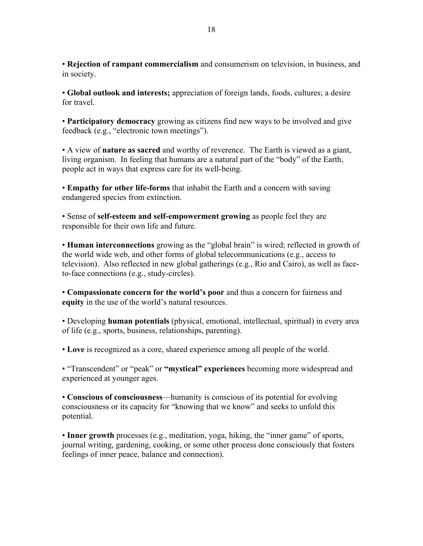• **Rejection of rampant commercialism** and consumerism on television, in business, and in society.

• **Global outlook and interests;** appreciation of foreign lands, foods, cultures; a desire for travel.

• **Participatory democracy** growing as citizens find new ways to be involved and give feedback (e.g., "electronic town meetings").

• A view of **nature as sacred** and worthy of reverence. The Earth is viewed as a giant, living organism. In feeling that humans are a natural part of the "body" of the Earth, people act in ways that express care for its well-being.

• **Empathy for other life-forms** that inhabit the Earth and a concern with saving endangered species from extinction.

• Sense of **self-esteem and self-empowerment growing** as people feel they are responsible for their own life and future.

• **Human interconnections** growing as the "global brain" is wired; reflected in growth of the world wide web, and other forms of global telecommunications (e.g., access to television). Also reflected in new global gatherings (e.g., Rio and Cairo), as well as faceto-face connections (e.g., study-circles).

• **Compassionate concern for the world's poor** and thus a concern for fairness and **equity** in the use of the world's natural resources.

• Developing **human potentials** (physical, emotional, intellectual, spiritual) in every area of life (e.g., sports, business, relationships, parenting).

• **Love** is recognized as a core, shared experience among all people of the world.

• "Transcendent" or "peak" or **"mystical" experiences** becoming more widespread and experienced at younger ages.

• **Conscious of consciousness**—humanity is conscious of its potential for evolving consciousness or its capacity for "knowing that we know" and seeks to unfold this potential.

• **Inner growth** processes (e.g., meditation, yoga, hiking, the "inner game" of sports, journal writing, gardening, cooking, or some other process done consciously that fosters feelings of inner peace, balance and connection).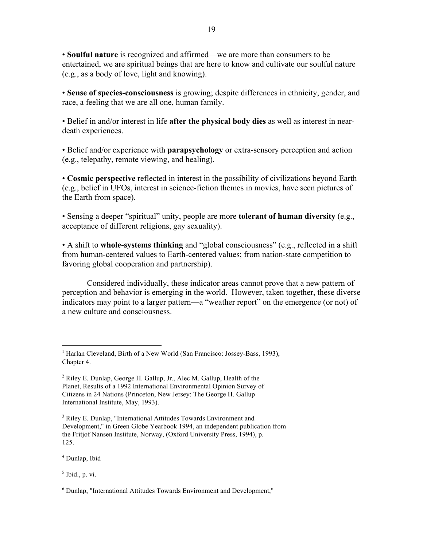• **Soulful nature** is recognized and affirmed—we are more than consumers to be entertained, we are spiritual beings that are here to know and cultivate our soulful nature (e.g., as a body of love, light and knowing).

• **Sense of species-consciousness** is growing; despite differences in ethnicity, gender, and race, a feeling that we are all one, human family.

• Belief in and/or interest in life **after the physical body dies** as well as interest in neardeath experiences.

• Belief and/or experience with **parapsychology** or extra-sensory perception and action (e.g., telepathy, remote viewing, and healing).

• **Cosmic perspective** reflected in interest in the possibility of civilizations beyond Earth (e.g., belief in UFOs, interest in science-fiction themes in movies, have seen pictures of the Earth from space).

• Sensing a deeper "spiritual" unity, people are more **tolerant of human diversity** (e.g., acceptance of different religions, gay sexuality).

• A shift to **whole-systems thinking** and "global consciousness" (e.g., reflected in a shift from human-centered values to Earth-centered values; from nation-state competition to favoring global cooperation and partnership).

Considered individually, these indicator areas cannot prove that a new pattern of perception and behavior is emerging in the world. However, taken together, these diverse indicators may point to a larger pattern—a "weather report" on the emergence (or not) of a new culture and consciousness.

<sup>4</sup> Dunlap, Ibid

 $<sup>5</sup>$  Ibid., p. vi.</sup>

<sup>&</sup>lt;sup>1</sup> Harlan Cleveland, Birth of a New World (San Francisco: Jossey-Bass, 1993), Chapter 4.

 $2$  Riley E. Dunlap, George H. Gallup, Jr., Alec M. Gallup, Health of the Planet, Results of a 1992 International Environmental Opinion Survey of Citizens in 24 Nations (Princeton, New Jersey: The George H. Gallup International Institute, May, 1993).

<sup>&</sup>lt;sup>3</sup> Riley E. Dunlap, "International Attitudes Towards Environment and Development," in Green Globe Yearbook 1994, an independent publication from the Fritjof Nansen Institute, Norway, (Oxford University Press, 1994), p. 125.

<sup>6</sup> Dunlap, "International Attitudes Towards Environment and Development,"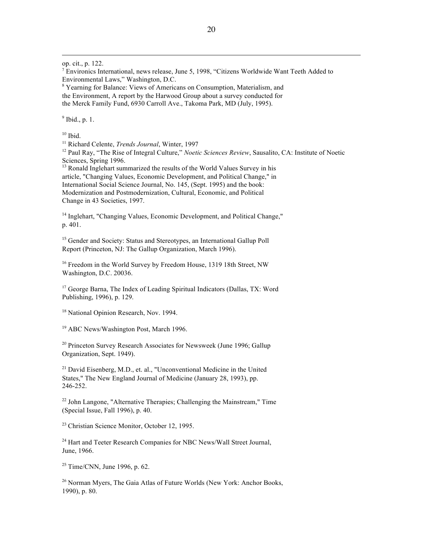op. cit., p. 122.

 $\overline{a}$ 

<sup>7</sup> Environics International, news release, June 5, 1998, "Citizens Worldwide Want Teeth Added to Environmental Laws," Washington, D.C.

<sup>8</sup> Yearning for Balance: Views of Americans on Consumption, Materialism, and the Environment, A report by the Harwood Group about a survey conducted for the Merck Family Fund, 6930 Carroll Ave., Takoma Park, MD (July, 1995).

 $<sup>9</sup>$  Ibid., p. 1.</sup>

 $10$  Ibid.

<sup>11</sup> Richard Celente, *Trends Journal*, Winter, 1997

<sup>12</sup> Paul Ray, "The Rise of Integral Culture," *Noetic Sciences Review*, Sausalito, CA: Institute of Noetic Sciences, Spring 1996.

 $13$  Ronald Inglehart summarized the results of the World Values Survey in his article, "Changing Values, Economic Development, and Political Change," in International Social Science Journal, No. 145, (Sept. 1995) and the book: Modernization and Postmodernization, Cultural, Economic, and Political Change in 43 Societies, 1997.

<sup>14</sup> Inglehart, "Changing Values, Economic Development, and Political Change," p. 401.

<sup>15</sup> Gender and Society: Status and Stereotypes, an International Gallup Poll Report (Princeton, NJ: The Gallup Organization, March 1996).

<sup>16</sup> Freedom in the World Survey by Freedom House, 1319 18th Street, NW Washington, D.C. 20036.

<sup>17</sup> George Barna, The Index of Leading Spiritual Indicators (Dallas, TX: Word Publishing, 1996), p. 129.

<sup>18</sup> National Opinion Research, Nov. 1994.

<sup>19</sup> ABC News/Washington Post, March 1996.

<sup>20</sup> Princeton Survey Research Associates for Newsweek (June 1996; Gallup Organization, Sept. 1949).

 $21$  David Eisenberg, M.D., et. al., "Unconventional Medicine in the United States," The New England Journal of Medicine (January 28, 1993), pp. 246-252.

 $22$  John Langone, "Alternative Therapies; Challenging the Mainstream," Time (Special Issue, Fall 1996), p. 40.

 $23$  Christian Science Monitor, October 12, 1995.

<sup>24</sup> Hart and Teeter Research Companies for NBC News/Wall Street Journal, June, 1966.

 $25$  Time/CNN, June 1996, p. 62.

<sup>26</sup> Norman Myers, The Gaia Atlas of Future Worlds (New York: Anchor Books, 1990), p. 80.